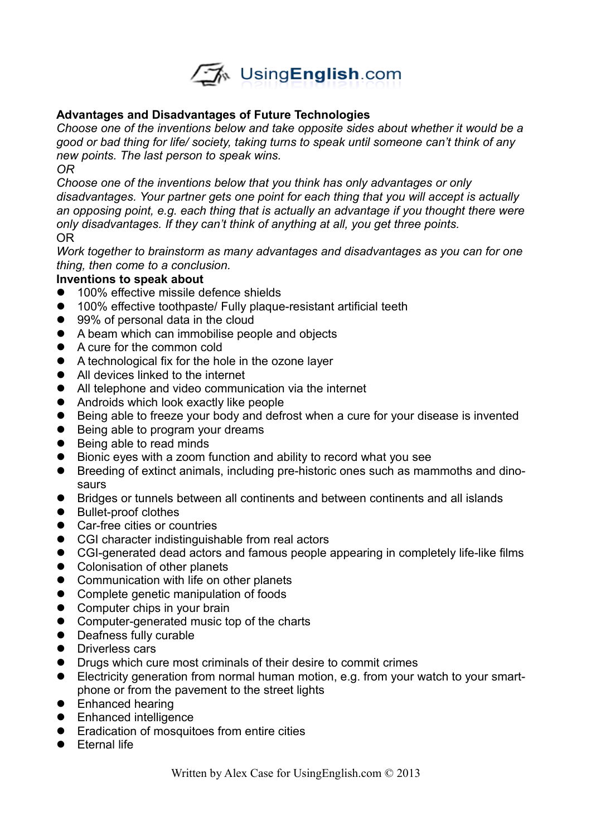

## **Advantages and Disadvantages of Future Technologies**

*Choose one of the inventions below and take opposite sides about whether it would be a good or bad thing for life/ society, taking turns to speak until someone can't think of any new points. The last person to speak wins.*

*OR*

*Choose one of the inventions below that you think has only advantages or only disadvantages. Your partner gets one point for each thing that you will accept is actually an opposing point, e.g. each thing that is actually an advantage if you thought there were only disadvantages. If they can't think of anything at all, you get three points.* OR

*Work together to brainstorm as many advantages and disadvantages as you can for one thing, then come to a conclusion.*

## **Inventions to speak about**

- **100% effective missile defence shields**
- 100% effective toothpaste/ Fully plaque-resistant artificial teeth
- 99% of personal data in the cloud
- A beam which can immobilise people and objects
- A cure for the common cold
- A technological fix for the hole in the ozone layer
- All devices linked to the internet
- All telephone and video communication via the internet
- Androids which look exactly like people
- Being able to freeze your body and defrost when a cure for your disease is invented
- Being able to program your dreams
- Being able to read minds
- Bionic eyes with a zoom function and ability to record what you see
- Breeding of extinct animals, including pre-historic ones such as mammoths and dinosaurs
- Bridges or tunnels between all continents and between continents and all islands
- Bullet-proof clothes
- Car-free cities or countries
- CGI character indistinguishable from real actors
- CGI-generated dead actors and famous people appearing in completely life-like films
- Colonisation of other planets
- Communication with life on other planets
- Complete genetic manipulation of foods
- Computer chips in your brain
- Computer-generated music top of the charts
- Deafness fully curable
- **•** Driverless cars
- **•** Drugs which cure most criminals of their desire to commit crimes
- Electricity generation from normal human motion, e.g. from your watch to your smartphone or from the pavement to the street lights
- **•** Enhanced hearing
- **•** Enhanced intelligence
- **•** Eradication of mosquitoes from entire cities
- **•** Fternal life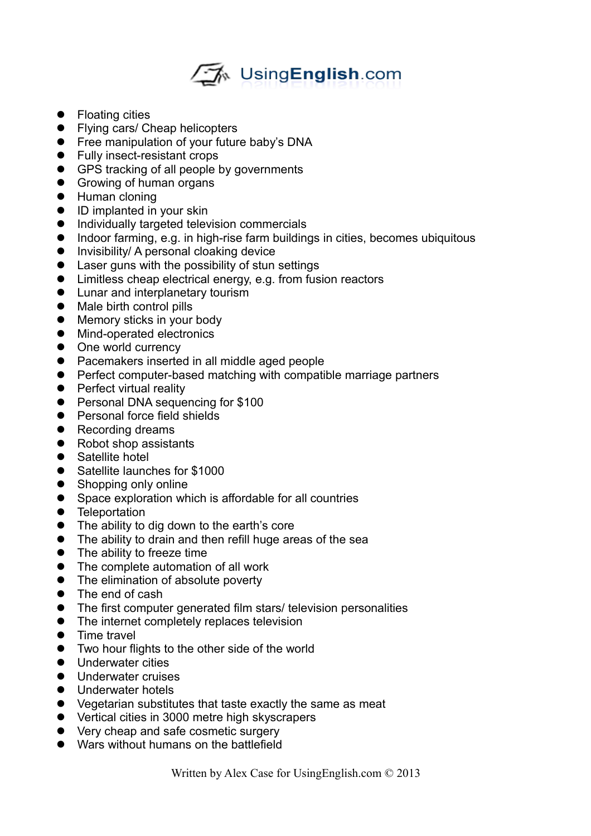## ∠" Using English.com

- Floating cities
- Flying cars/ Cheap helicopters
- **•** Free manipulation of your future baby's DNA
- Fully insect-resistant crops
- GPS tracking of all people by governments
- **Growing of human organs**
- **•** Human cloning
- ID implanted in your skin
- $\bullet$  Individually targeted television commercials
- Indoor farming, e.g. in high-rise farm buildings in cities, becomes ubiquitous
- **•** Invisibility/ A personal cloaking device
- Laser guns with the possibility of stun settings
- Limitless cheap electrical energy, e.g. from fusion reactors
- **•** Lunar and interplanetary tourism
- Male birth control pills
- Memory sticks in your body
- **•** Mind-operated electronics
- One world currency
- Pacemakers inserted in all middle aged people
- Perfect computer-based matching with compatible marriage partners
- Perfect virtual reality
- **•** Personal DNA sequencing for \$100
- Personal force field shields
- Recording dreams
- Robot shop assistants
- **•** Satellite hotel
- Satellite launches for \$1000
- Shopping only online
- Space exploration which is affordable for all countries
- **•** Teleportation
- The ability to dig down to the earth's core
- The ability to drain and then refill huge areas of the sea
- The ability to freeze time
- The complete automation of all work
- The elimination of absolute poverty
- The end of cash
- The first computer generated film stars/ television personalities
- The internet completely replaces television
- Time travel
- Two hour flights to the other side of the world
- **•** Underwater cities
- **Underwater cruises**
- **•** Underwater hotels
- Vegetarian substitutes that taste exactly the same as meat
- Vertical cities in 3000 metre high skyscrapers
- Very cheap and safe cosmetic surgery
- Wars without humans on the battlefield